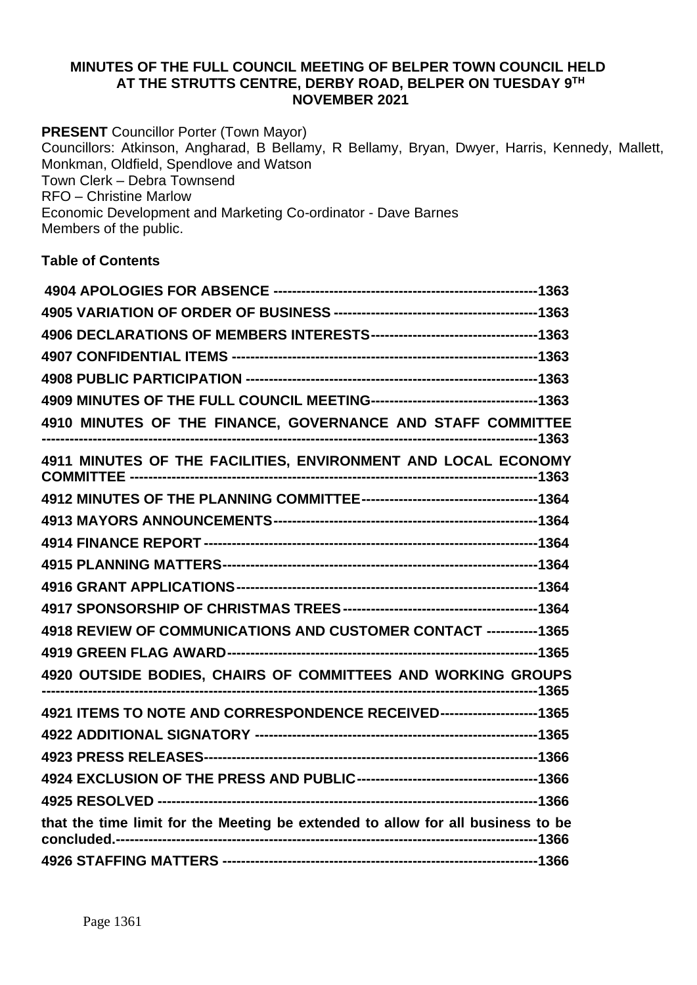### **MINUTES OF THE FULL COUNCIL MEETING OF BELPER TOWN COUNCIL HELD AT THE STRUTTS CENTRE, DERBY ROAD, BELPER ON TUESDAY 9 TH NOVEMBER 2021**

**PRESENT** Councillor Porter (Town Mayor) Councillors: Atkinson, Angharad, B Bellamy, R Bellamy, Bryan, Dwyer, Harris, Kennedy, Mallett, Monkman, Oldfield, Spendlove and Watson Town Clerk – Debra Townsend RFO – Christine Marlow Economic Development and Marketing Co-ordinator - Dave Barnes Members of the public.

# **Table of Contents**

| 4909 MINUTES OF THE FULL COUNCIL MEETING-----------------------------------1363 |  |
|---------------------------------------------------------------------------------|--|
| 4910 MINUTES OF THE FINANCE, GOVERNANCE AND STAFF COMMITTEE                     |  |
| 4911 MINUTES OF THE FACILITIES, ENVIRONMENT AND LOCAL ECONOMY                   |  |
|                                                                                 |  |
|                                                                                 |  |
|                                                                                 |  |
|                                                                                 |  |
|                                                                                 |  |
|                                                                                 |  |
| 4918 REVIEW OF COMMUNICATIONS AND CUSTOMER CONTACT -----------1365              |  |
|                                                                                 |  |
| 4920 OUTSIDE BODIES, CHAIRS OF COMMITTEES AND WORKING GROUPS                    |  |
| 4921 ITEMS TO NOTE AND CORRESPONDENCE RECEIVED---------------------1365         |  |
|                                                                                 |  |
|                                                                                 |  |
|                                                                                 |  |
|                                                                                 |  |
| that the time limit for the Meeting be extended to allow for all business to be |  |
|                                                                                 |  |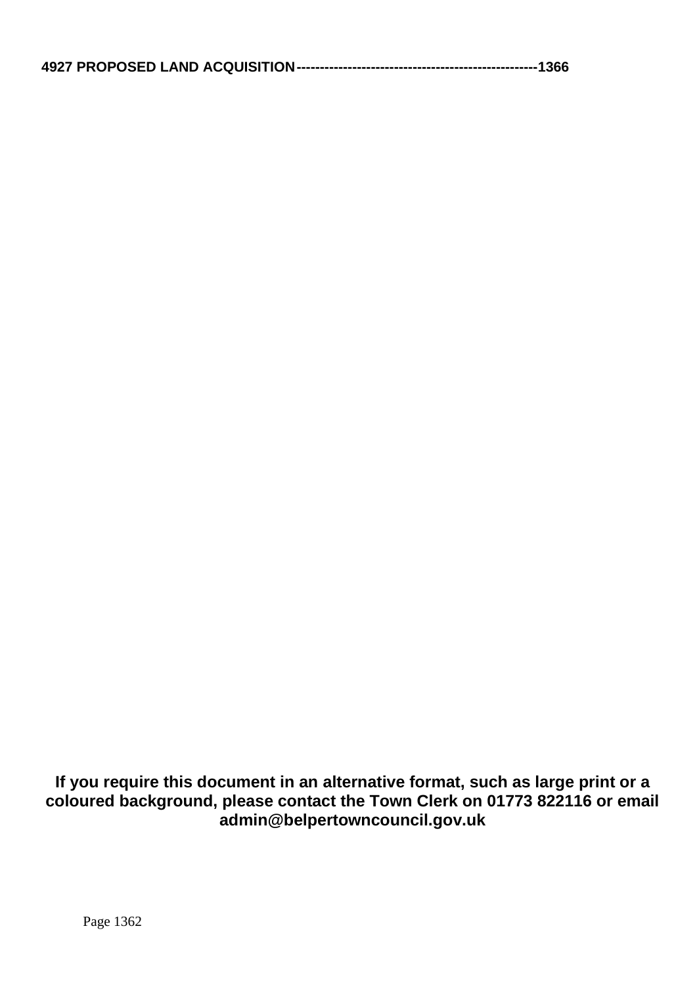**If you require this document in an alternative format, such as large print or a coloured background, please contact the Town Clerk on 01773 822116 or email admin@belpertowncouncil.gov.uk**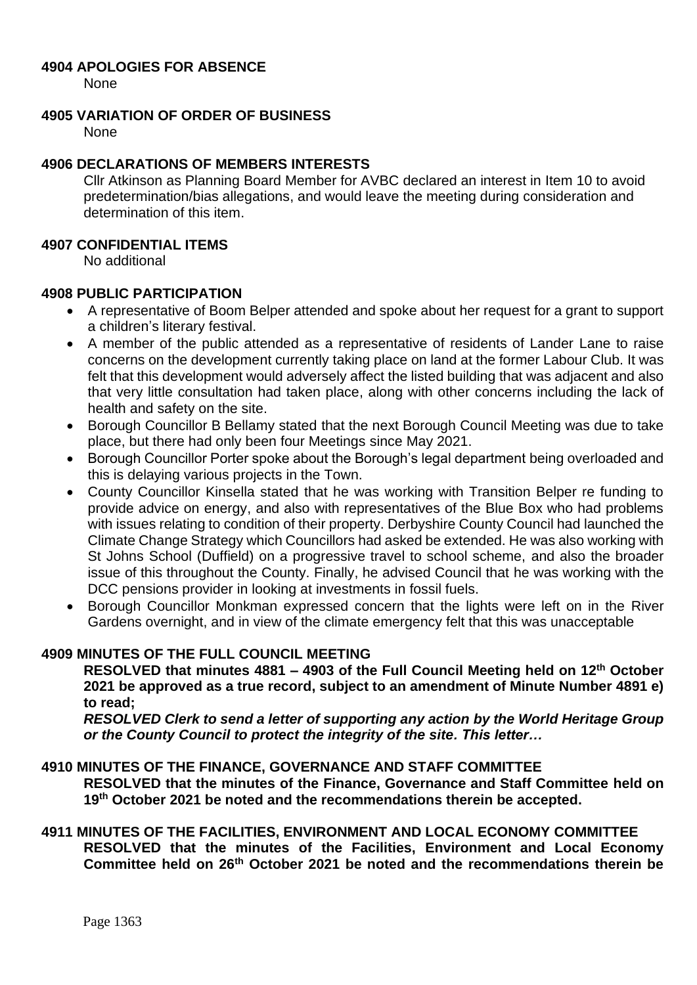### <span id="page-2-0"></span>**4904 APOLOGIES FOR ABSENCE**

None

## <span id="page-2-1"></span>**4905 VARIATION OF ORDER OF BUSINESS**

None

# <span id="page-2-2"></span>**4906 DECLARATIONS OF MEMBERS INTERESTS**

Cllr Atkinson as Planning Board Member for AVBC declared an interest in Item 10 to avoid predetermination/bias allegations, and would leave the meeting during consideration and determination of this item.

### <span id="page-2-3"></span>**4907 CONFIDENTIAL ITEMS**

No additional

## <span id="page-2-4"></span>**4908 PUBLIC PARTICIPATION**

- A representative of Boom Belper attended and spoke about her request for a grant to support a children's literary festival.
- A member of the public attended as a representative of residents of Lander Lane to raise concerns on the development currently taking place on land at the former Labour Club. It was felt that this development would adversely affect the listed building that was adjacent and also that very little consultation had taken place, along with other concerns including the lack of health and safety on the site.
- Borough Councillor B Bellamy stated that the next Borough Council Meeting was due to take place, but there had only been four Meetings since May 2021.
- Borough Councillor Porter spoke about the Borough's legal department being overloaded and this is delaying various projects in the Town.
- County Councillor Kinsella stated that he was working with Transition Belper re funding to provide advice on energy, and also with representatives of the Blue Box who had problems with issues relating to condition of their property. Derbyshire County Council had launched the Climate Change Strategy which Councillors had asked be extended. He was also working with St Johns School (Duffield) on a progressive travel to school scheme, and also the broader issue of this throughout the County. Finally, he advised Council that he was working with the DCC pensions provider in looking at investments in fossil fuels.
- Borough Councillor Monkman expressed concern that the lights were left on in the River Gardens overnight, and in view of the climate emergency felt that this was unacceptable

## <span id="page-2-5"></span>**4909 MINUTES OF THE FULL COUNCIL MEETING**

**RESOLVED that minutes 4881 – 4903 of the Full Council Meeting held on 12th October 2021 be approved as a true record, subject to an amendment of Minute Number 4891 e) to read;**

*RESOLVED Clerk to send a letter of supporting any action by the World Heritage Group or the County Council to protect the integrity of the site. This letter…*

## <span id="page-2-6"></span>**4910 MINUTES OF THE FINANCE, GOVERNANCE AND STAFF COMMITTEE**

**RESOLVED that the minutes of the Finance, Governance and Staff Committee held on 19th October 2021 be noted and the recommendations therein be accepted.**

#### <span id="page-2-7"></span>**4911 MINUTES OF THE FACILITIES, ENVIRONMENT AND LOCAL ECONOMY COMMITTEE**

**RESOLVED that the minutes of the Facilities, Environment and Local Economy Committee held on 26th October 2021 be noted and the recommendations therein be**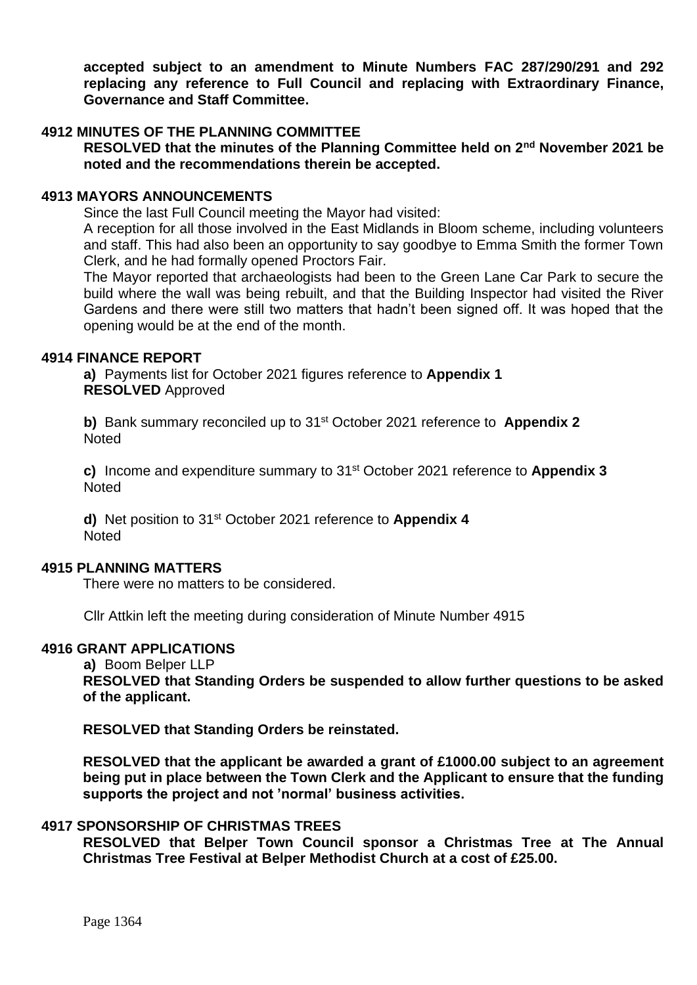**accepted subject to an amendment to Minute Numbers FAC 287/290/291 and 292 replacing any reference to Full Council and replacing with Extraordinary Finance, Governance and Staff Committee.**

## <span id="page-3-0"></span>**4912 MINUTES OF THE PLANNING COMMITTEE**

**RESOLVED that the minutes of the Planning Committee held on 2nd November 2021 be noted and the recommendations therein be accepted.**

#### <span id="page-3-1"></span>**4913 MAYORS ANNOUNCEMENTS**

Since the last Full Council meeting the Mayor had visited:

A reception for all those involved in the East Midlands in Bloom scheme, including volunteers and staff. This had also been an opportunity to say goodbye to Emma Smith the former Town Clerk, and he had formally opened Proctors Fair.

The Mayor reported that archaeologists had been to the Green Lane Car Park to secure the build where the wall was being rebuilt, and that the Building Inspector had visited the River Gardens and there were still two matters that hadn't been signed off. It was hoped that the opening would be at the end of the month.

#### <span id="page-3-2"></span>**4914 FINANCE REPORT**

**a)** Payments list for October 2021 figures reference to **Appendix 1 RESOLVED** Approved

**b)** Bank summary reconciled up to 31st October 2021 reference to **Appendix 2 Noted** 

**c)** Income and expenditure summary to 31 st October 2021 reference to **Appendix 3** Noted

**d)** Net position to 31st October 2021 reference to **Appendix 4** Noted

#### <span id="page-3-3"></span>**4915 PLANNING MATTERS**

There were no matters to be considered.

Cllr Attkin left the meeting during consideration of Minute Number 4915

## <span id="page-3-4"></span>**4916 GRANT APPLICATIONS**

**a)** Boom Belper LLP

**RESOLVED that Standing Orders be suspended to allow further questions to be asked of the applicant.**

**RESOLVED that Standing Orders be reinstated.**

**RESOLVED that the applicant be awarded a grant of £1000.00 subject to an agreement being put in place between the Town Clerk and the Applicant to ensure that the funding supports the project and not 'normal' business activities.**

### <span id="page-3-5"></span>**4917 SPONSORSHIP OF CHRISTMAS TREES**

**RESOLVED that Belper Town Council sponsor a Christmas Tree at The Annual Christmas Tree Festival at Belper Methodist Church at a cost of £25.00.**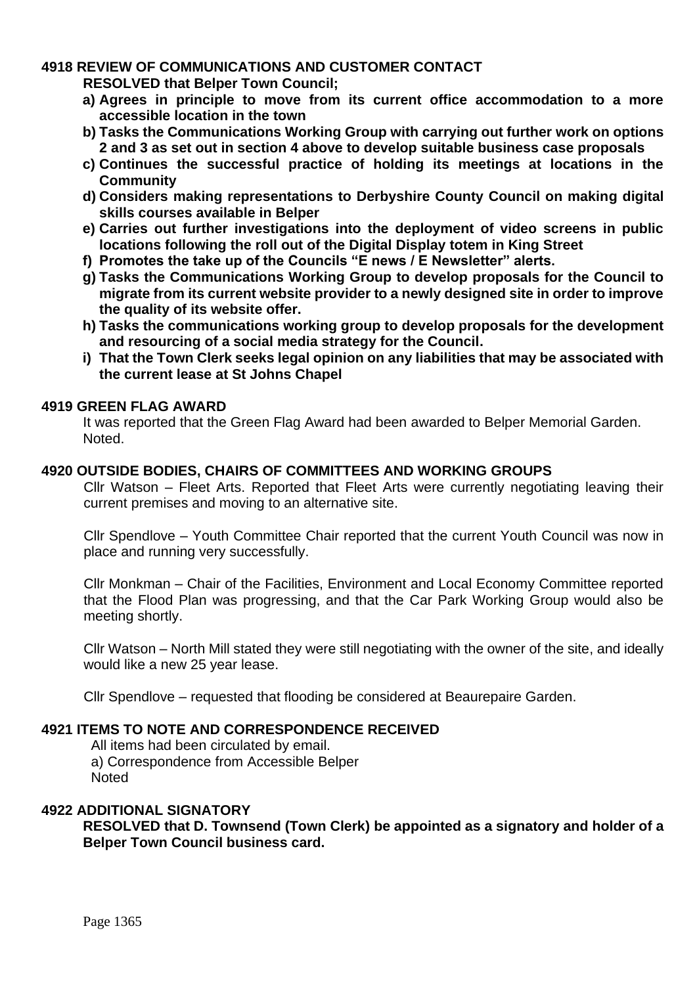# <span id="page-4-0"></span>**4918 REVIEW OF COMMUNICATIONS AND CUSTOMER CONTACT**

**RESOLVED that Belper Town Council;** 

- **a) Agrees in principle to move from its current office accommodation to a more accessible location in the town**
- **b) Tasks the Communications Working Group with carrying out further work on options 2 and 3 as set out in section 4 above to develop suitable business case proposals**
- **c) Continues the successful practice of holding its meetings at locations in the Community**
- **d) Considers making representations to Derbyshire County Council on making digital skills courses available in Belper**
- **e) Carries out further investigations into the deployment of video screens in public locations following the roll out of the Digital Display totem in King Street**
- **f) Promotes the take up of the Councils "E news / E Newsletter" alerts.**
- **g) Tasks the Communications Working Group to develop proposals for the Council to migrate from its current website provider to a newly designed site in order to improve the quality of its website offer.**
- **h) Tasks the communications working group to develop proposals for the development and resourcing of a social media strategy for the Council.**
- **i) That the Town Clerk seeks legal opinion on any liabilities that may be associated with the current lease at St Johns Chapel**

# <span id="page-4-1"></span>**4919 GREEN FLAG AWARD**

It was reported that the Green Flag Award had been awarded to Belper Memorial Garden. Noted.

## <span id="page-4-2"></span>**4920 OUTSIDE BODIES, CHAIRS OF COMMITTEES AND WORKING GROUPS**

Cllr Watson – Fleet Arts. Reported that Fleet Arts were currently negotiating leaving their current premises and moving to an alternative site.

Cllr Spendlove – Youth Committee Chair reported that the current Youth Council was now in place and running very successfully.

Cllr Monkman – Chair of the Facilities, Environment and Local Economy Committee reported that the Flood Plan was progressing, and that the Car Park Working Group would also be meeting shortly.

Cllr Watson – North Mill stated they were still negotiating with the owner of the site, and ideally would like a new 25 year lease.

Cllr Spendlove – requested that flooding be considered at Beaurepaire Garden.

## <span id="page-4-3"></span>**4921 ITEMS TO NOTE AND CORRESPONDENCE RECEIVED**

All items had been circulated by email. a) Correspondence from Accessible Belper Noted

### <span id="page-4-4"></span>**4922 ADDITIONAL SIGNATORY**

**RESOLVED that D. Townsend (Town Clerk) be appointed as a signatory and holder of a Belper Town Council business card.**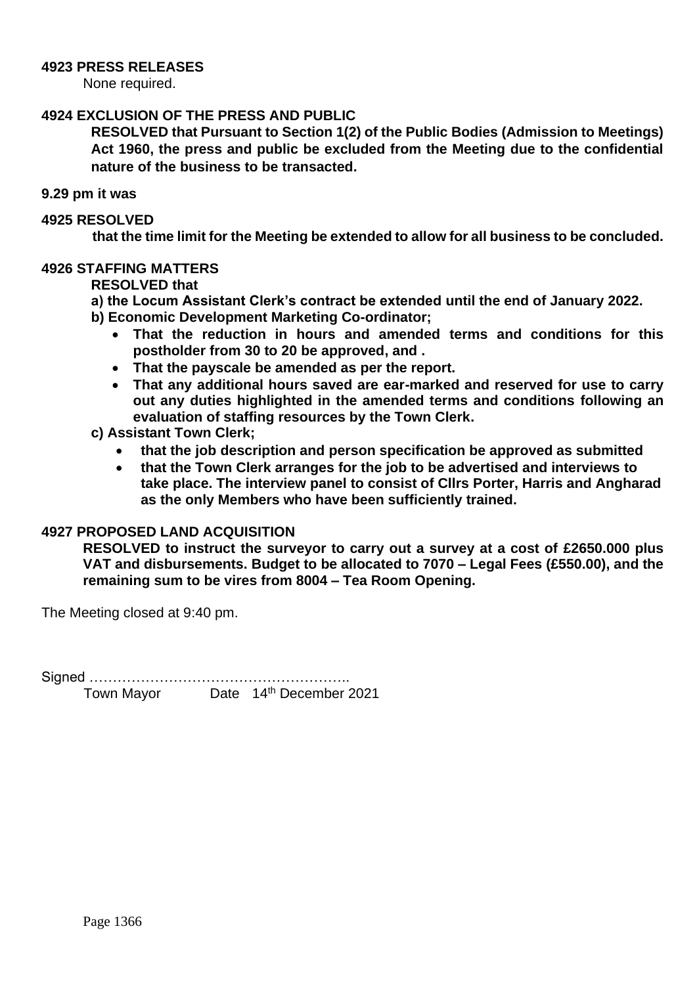### <span id="page-5-0"></span>**4923 PRESS RELEASES**

None required.

### <span id="page-5-1"></span>**4924 EXCLUSION OF THE PRESS AND PUBLIC**

**RESOLVED that Pursuant to Section 1(2) of the Public Bodies (Admission to Meetings) Act 1960, the press and public be excluded from the Meeting due to the confidential nature of the business to be transacted.**

#### **9.29 pm it was**

#### <span id="page-5-2"></span>**4925 RESOLVED**

<span id="page-5-3"></span> **that the time limit for the Meeting be extended to allow for all business to be concluded.**

#### <span id="page-5-4"></span>**4926 STAFFING MATTERS**

### **RESOLVED that**

- **a) the Locum Assistant Clerk's contract be extended until the end of January 2022.**
- **b) Economic Development Marketing Co-ordinator;**
	- **That the reduction in hours and amended terms and conditions for this postholder from 30 to 20 be approved, and .**
	- **That the payscale be amended as per the report.**
	- **That any additional hours saved are ear-marked and reserved for use to carry out any duties highlighted in the amended terms and conditions following an evaluation of staffing resources by the Town Clerk.**
- **c) Assistant Town Clerk;**
	- **that the job description and person specification be approved as submitted**
	- **that the Town Clerk arranges for the job to be advertised and interviews to take place. The interview panel to consist of Cllrs Porter, Harris and Angharad as the only Members who have been sufficiently trained.**

## <span id="page-5-5"></span>**4927 PROPOSED LAND ACQUISITION**

**RESOLVED to instruct the surveyor to carry out a survey at a cost of £2650.000 plus VAT and disbursements. Budget to be allocated to 7070 – Legal Fees (£550.00), and the remaining sum to be vires from 8004 – Tea Room Opening.** 

The Meeting closed at 9:40 pm.

Signed ……………………………………………….. Town Mayor Date 14<sup>th</sup> December 2021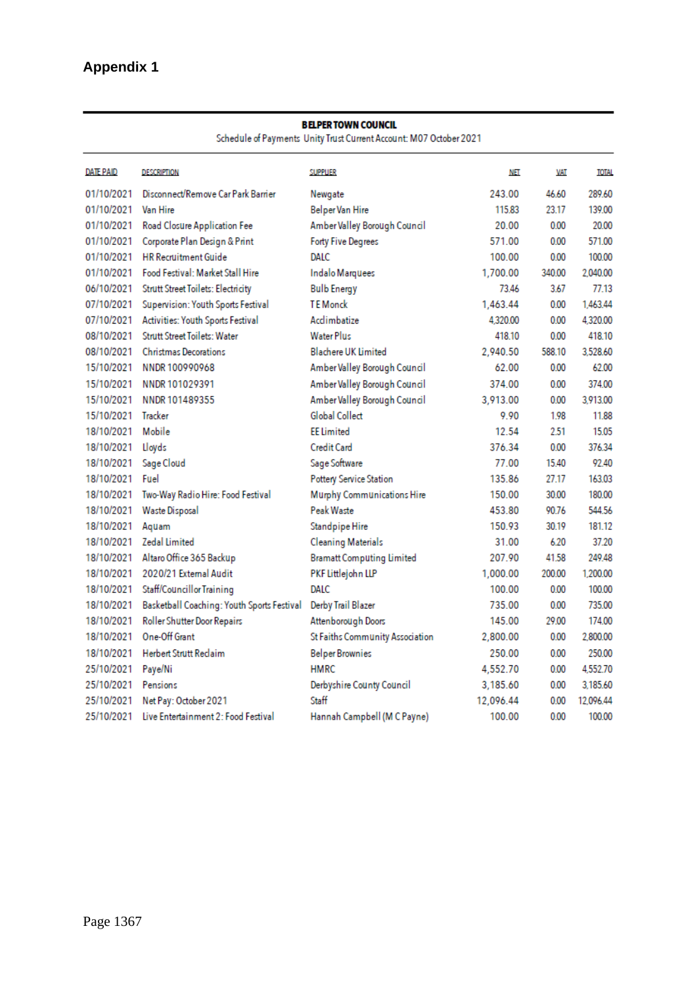Schedule of Payments Unity Trust Current Account: M07 October 2021

| <b>DATE PAID</b> | <b>DESCRIPTION</b>                         | <b>SUPPLIER</b>                  | <b>NET</b> | <b>VAT</b> | <b>TOTAL</b> |
|------------------|--------------------------------------------|----------------------------------|------------|------------|--------------|
| 01/10/2021       | Disconnect/Remove Car Park Barrier         | Newgate                          | 243.00     | 46.60      | 289.60       |
| 01/10/2021       | <b>Van Hire</b>                            | <b>Belper Van Hire</b>           | 115.83     | 23.17      | 139.00       |
| 01/10/2021       | Road Closure Application Fee               | Amber Valley Borough Council     | 20.00      | 0.00       | 20.00        |
| 01/10/2021       | Corporate Plan Design & Print              | <b>Forty Five Degrees</b>        | 571.00     | 0.00       | 571.00       |
| 01/10/2021       | <b>HR Recruitment Guide</b>                | DALC                             | 100.00     | 0.00       | 100.00       |
| 01/10/2021       | <b>Food Festival: Market Stall Hire</b>    | Indalo Marquees                  | 1,700.00   | 340.00     | 2.040.00     |
| 06/10/2021       | <b>Strutt Street Toilets: Electricity</b>  | <b>Bulb Energy</b>               | 73.46      | 3.67       | 77.13        |
| 07/10/2021       | Supervision: Youth Sports Festival         | <b>TE</b> Monck                  | 1.463.44   | 0.00       | 1.463.44     |
| 07/10/2021       | Activities: Youth Sports Festival          | Acclimbatize                     | 4.320.00   | 0.00       | 4.320.00     |
| 08/10/2021       | <b>Strutt Street Toilets: Water</b>        | <b>Water Plus</b>                | 418.10     | 0.00       | 418.10       |
| 08/10/2021       | <b>Christmas Decorations</b>               | <b>Blachere UK Limited</b>       | 2.940.50   | 588.10     | 3.528.60     |
| 15/10/2021       | NNDR 100990968                             | Amber Valley Borough Council     | 62.00      | 0.00       | 6200         |
| 15/10/2021       | NNDR 101029391                             | Amber Valley Borough Council     | 374.00     | 0.00       | 374.00       |
| 15/10/2021       | NNDR 101489355                             | Amber Valley Borough Council     | 3,913.00   | 0.00       | 3,913.00     |
| 15/10/2021       | <b>Tracker</b>                             | Global Collect                   | 9.90       | 1.98       | 11.88        |
| 18/10/2021       | Mobile                                     | <b>FF</b> Limited                | 12.54      | 2.51       | 1505         |
| 18/10/2021       | Lloyds                                     | <b>Credit Card</b>               | 376.34     | 0.00       | 376.34       |
| 18/10/2021       | Sage Cloud                                 | Sage Software                    | 77.00      | 15.40      | 92.40        |
| 18/10/2021       | Fuel                                       | Pottery Service Station          | 135.86     | 27.17      | 163.03       |
| 18/10/2021       | Two-Way Radio Hire: Food Festival          | Murphy Communications Hire       | 150.00     | 30.00      | 180.00       |
| 18/10/2021       | <b>Waste Disposal</b>                      | Peak Waste                       | 453.80     | 90.76      | 544.56       |
| 18/10/2021       | Aguam                                      | Standpipe Hire                   | 150.93     | 30.19      | 181.12       |
| 18/10/2021       | <b>Zedal Limited</b>                       | <b>Cleaning Materials</b>        | 31.00      | 6.20       | 37.20        |
| 18/10/2021       | Altaro Office 365 Backup                   | <b>Bramatt Computing Limited</b> | 207.90     | 41.58      | 249.48       |
| 18/10/2021       | 2020/21 External Audit                     | PKF Littlejohn LLP               | 1,000.00   | 200.00     | 1.200.00     |
| 18/10/2021       | Staff/Councillor Training                  | DALC                             | 100.00     | 0.00       | 100.00       |
| 18/10/2021       | Basketball Coaching: Youth Sports Festival | Derby Trail Blazer               | 735.00     | 0.00       | 735.00       |
| 18/10/2021       | Roller Shutter Door Repairs                | Attenborough Doors               | 145.00     | 29.00      | 174.00       |
| 18/10/2021       | One-Off Grant                              | St Faiths Community Association  | 2,800.00   | 0.00       | 2.800.00     |
| 18/10/2021       | <b>Herbert Strutt Reclaim</b>              | <b>Belper Brownies</b>           | 250.00     | 0.00       | 250.00       |
| 25/10/2021       | Paye/Ni                                    | <b>HMRC</b>                      | 4,552.70   | 0.00       | 4.552.70     |
| 25/10/2021       | Pensions                                   | Derbyshire County Council        | 3,185.60   | 0.00       | 3.185.60     |
| 25/10/2021       | Net Pay: October 2021                      | Staff                            | 12,096.44  | 0.00       | 12.096.44    |
| 25/10/2021       | Live Entertainment 2: Food Festival        | Hannah Campbell (M C Payne)      | 100.00     | 0.00       | 100.00       |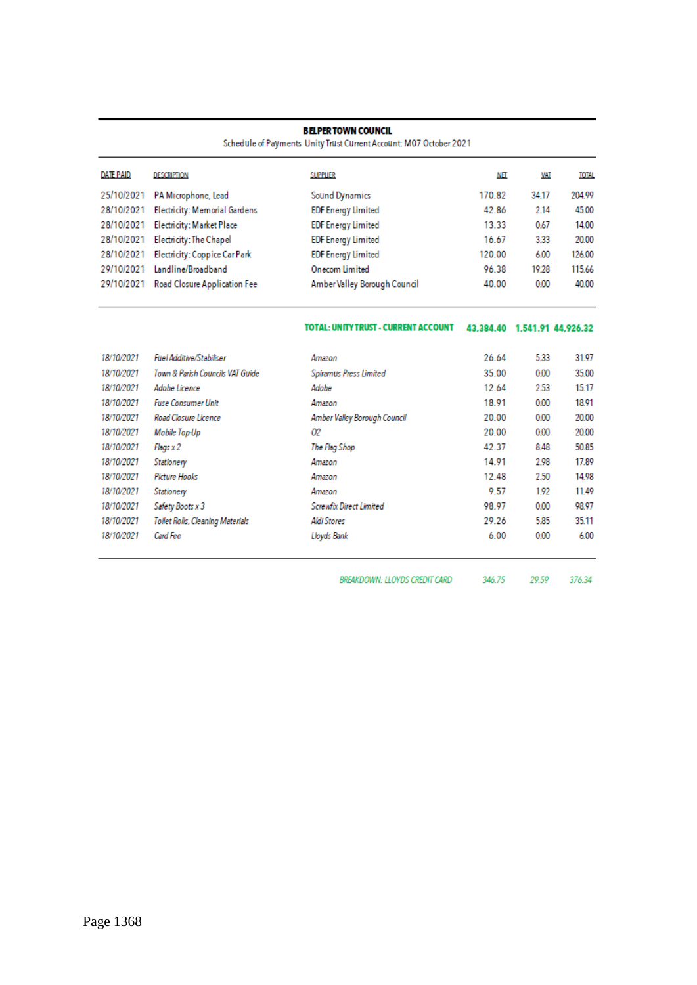Schedule of Payments Unity Trust Current Account: M07 October 2021

| <b>DATE PAID</b> | <b>DESCRIPTION</b>                       | <b>SUPPLIER</b>              | NET    | VAT   | <b>TOTAL</b> |
|------------------|------------------------------------------|------------------------------|--------|-------|--------------|
| 25/10/2021       | PA Microphone, Lead                      | <b>Sound Dynamics</b>        | 170.82 | 34.17 | 204.99       |
|                  | 28/10/2021 Electricity: Memorial Gardens | <b>EDF Energy Limited</b>    | 42.86  | 2.14  | 45.00        |
|                  | 28/10/2021 Electricity: Market Place     | <b>EDF Energy Limited</b>    | 13.33  | 0.67  | 14.00        |
|                  | 28/10/2021 Electricity: The Chapel       | <b>EDF Energy Limited</b>    | 16.67  | 3.33  | 20.00        |
|                  | 28/10/2021 Electricity: Coppice Car Park | <b>EDF Energy Limited</b>    | 120.00 | 6.00  | 126.00       |
| 29/10/2021       | Landline/Broadband                       | <b>Onecom Limited</b>        | 96.38  | 19.28 | 115.66       |
| 29/10/2021       | <b>Road Closure Application Fee</b>      | Amber Valley Borough Council | 40.00  | 0.00  | 40.00        |

#### TOTAL: UNITY TRUST - CURRENT ACCOUNT 43,384.40 1,541.91 44,926.32

| 18/10/2021 | <b>Fuel Additive/Stabiliser</b>  | Amazon                       | 26.64 | 5.33 | 31.97 |
|------------|----------------------------------|------------------------------|-------|------|-------|
| 18/10/2021 | Town & Parish Councils VAT Guide | Spiramus Press Limited       | 35.00 | 0.00 | 35.00 |
| 18/10/2021 | Adobe Licence                    | Adobe                        | 12.64 | 2.53 | 15.17 |
| 18/10/2021 | <b>Fuse Consumer Unit</b>        | Amazon                       | 18.91 | 0.00 | 18.91 |
| 18/10/2021 | Road Closure Licence             | Amber Valley Borough Council | 20.00 | 0.00 | 20.00 |
| 18/10/2021 | Mobile Top-Up                    | 02                           | 20.00 | 0.00 | 20.00 |
| 18/10/2021 | Flags x 2                        | The Flag Shop                | 42.37 | 8.48 | 50.85 |
| 18/10/2021 | Stationery                       | Amazon                       | 14.91 | 2.98 | 17.89 |
| 18/10/2021 | Picture Hooks                    | Amazon                       | 12.48 | 2.50 | 14.98 |
| 18/10/2021 | Stationery                       | Amazon                       | 9.57  | 1.92 | 11.49 |
| 18/10/2021 | Safety Boots x 3                 | Screwfix Direct Limited      | 98.97 | 0.00 | 98.97 |
| 18/10/2021 | Toilet Rolls, Cleaning Materials | Aldi Stores                  | 29.26 | 5.85 | 35.11 |
| 18/10/2021 | Card Fee                         | Lloyds Bank                  | 6.00  | 0.00 | 6.00  |
|            |                                  |                              |       |      |       |

BREAKDOWN: LLOYDS CREDIT CARD 346.75 29.59 376.34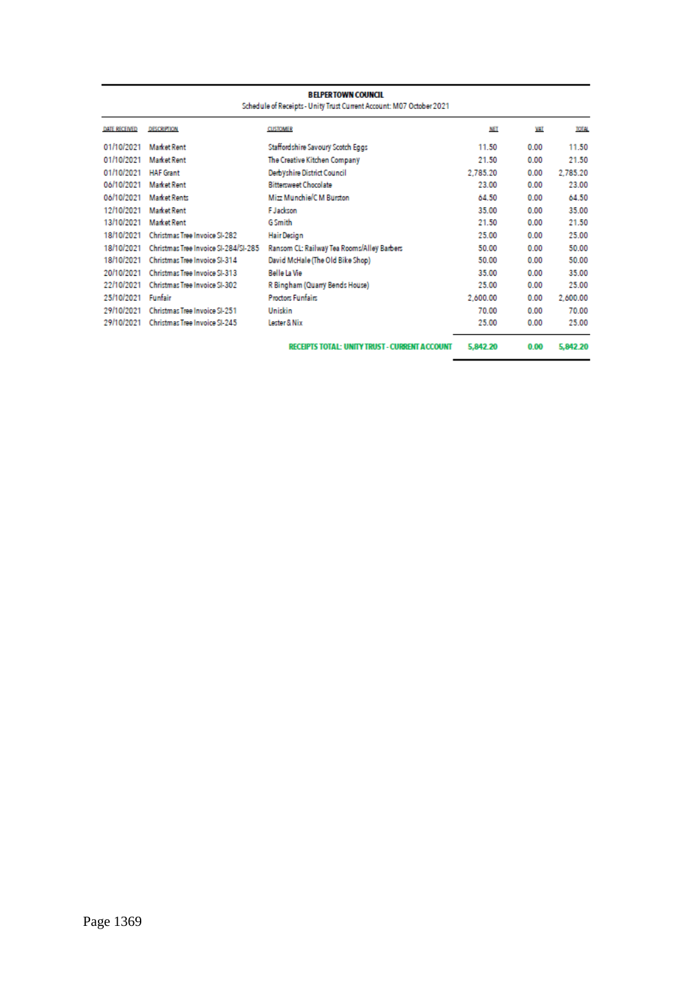|               | <b>BELPERTOWN COUNCIL</b><br>Schedule of Receipts - Unity Trust Current Account: M07 October 2021 |                                                      |            |      |              |
|---------------|---------------------------------------------------------------------------------------------------|------------------------------------------------------|------------|------|--------------|
| DATE RECEIVED | <b>DESCRIPTION</b>                                                                                | <b>CUSTOMER</b>                                      | <b>NET</b> | VAT  | <b>TOTAL</b> |
| 01/10/2021    | <b>Market Rent</b>                                                                                | Staffordshire Savoury Scotch Eggs                    | 11.50      | 0.00 | 11.50        |
| 01/10/2021    | <b>Market Rent</b>                                                                                | The Creative Kitchen Company                         | 21.50      | 0.00 | 21.50        |
| 01/10/2021    | <b>HAF Grant</b>                                                                                  | Derbyshire District Council                          | 2.785.20   | 0.00 | 2.785.20     |
| 06/10/2021    | <b>Market Rent</b>                                                                                | <b>Bittersweet Chocolate</b>                         | 23.00      | 0.00 | 23.00        |
| 06/10/2021    | <b>Market Rents</b>                                                                               | Mizz Munchie/C M Burston                             | 64.50      | 0.00 | 64.50        |
| 12/10/2021    | <b>Market Rent</b>                                                                                | <b>F</b> Jackson                                     | 35.00      | 0.00 | 35.00        |
| 13/10/2021    | Market Rent                                                                                       | <b>G</b> Smith                                       | 21.50      | 0.00 | 21.50        |
| 18/10/2021    | Christmas Tree Invoice SI-282                                                                     | <b>Hair Design</b>                                   | 25.00      | 0.00 | 25.00        |
| 18/10/2021    | Christmas Tree Invoice SI-284/SI-285                                                              | Ransom CL: Railway Tea Rooms/Alley Barbers           | 50.00      | 0.00 | 50.00        |
| 18/10/2021    | Christmas Tree Invoice SI-314                                                                     | David McHale (The Old Bike Shop)                     | 50.00      | 0.00 | 50.00        |
| 20/10/2021    | Christmas Tree Invoice SI-313                                                                     | Belle La Vie                                         | 35.00      | 0.00 | 35.00        |
| 22/10/2021    | Christmas Tree Invoice SI-302                                                                     | R Bingham (Quarry Bends House)                       | 25.00      | 0.00 | 25.00        |
| 25/10/2021    | Funfair                                                                                           | <b>Proctors Funfairs</b>                             | 2.600.00   | 0.00 | 2,600.00     |
| 29/10/2021    | Christmas Tree Invoice SI-251                                                                     | Uniskin                                              | 70.00      | 0.00 | 70.00        |
| 29/10/2021    | Christmas Tree Invoice SI-245                                                                     | Lester & Nix                                         | 25.00      | 0.00 | 25.00        |
|               |                                                                                                   | <b>RECEIPTS TOTAL: UNITY TRUST - CURRENT ACCOUNT</b> | 5,842.20   | 0.00 | 5,842.20     |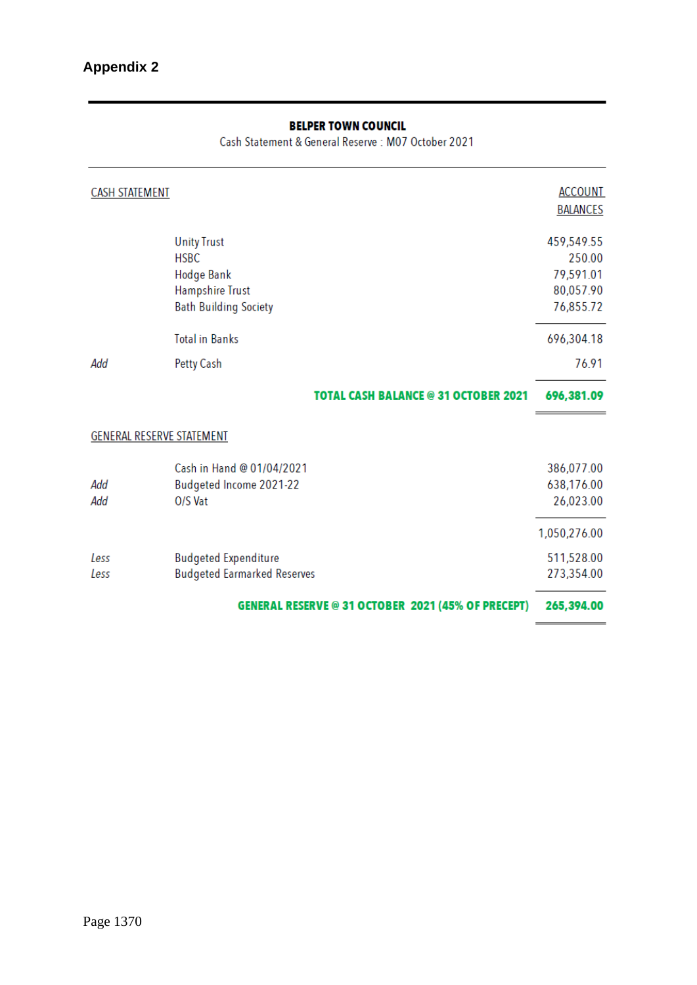Cash Statement & General Reserve: M07 October 2021

| CASH STATEMENT                                                                                                   | <b>ACCOUNT</b><br><b>BALANCES</b>                           |
|------------------------------------------------------------------------------------------------------------------|-------------------------------------------------------------|
| <b>Unity Trust</b><br><b>HSBC</b><br><b>Hodge Bank</b><br><b>Hampshire Trust</b><br><b>Bath Building Society</b> | 459,549.55<br>250.00<br>79,591.01<br>80,057.90<br>76,855.72 |
| <b>Total in Banks</b>                                                                                            | 696,304.18                                                  |
| Add<br><b>Petty Cash</b>                                                                                         | 76.91                                                       |
| <b>TOTAL CASH BALANCE @ 31 OCTOBER 2021</b>                                                                      | 696,381.09                                                  |
| GENERAL RESERVE STATEMENT                                                                                        |                                                             |
| Cash in Hand @ 01/04/2021<br>Budgeted Income 2021-22<br>Add<br>Add<br>O/S Vat                                    | 386,077.00<br>638,176.00<br>26,023.00                       |
|                                                                                                                  | 1,050,276.00                                                |
| <b>Budgeted Expenditure</b><br>Less<br><b>Budgeted Earmarked Reserves</b><br>Less                                | 511,528.00<br>273,354.00                                    |
| <b>GENERAL RESERVE @ 31 OCTOBER 2021 (45% OF PRECEPT)</b>                                                        | 265,394.00                                                  |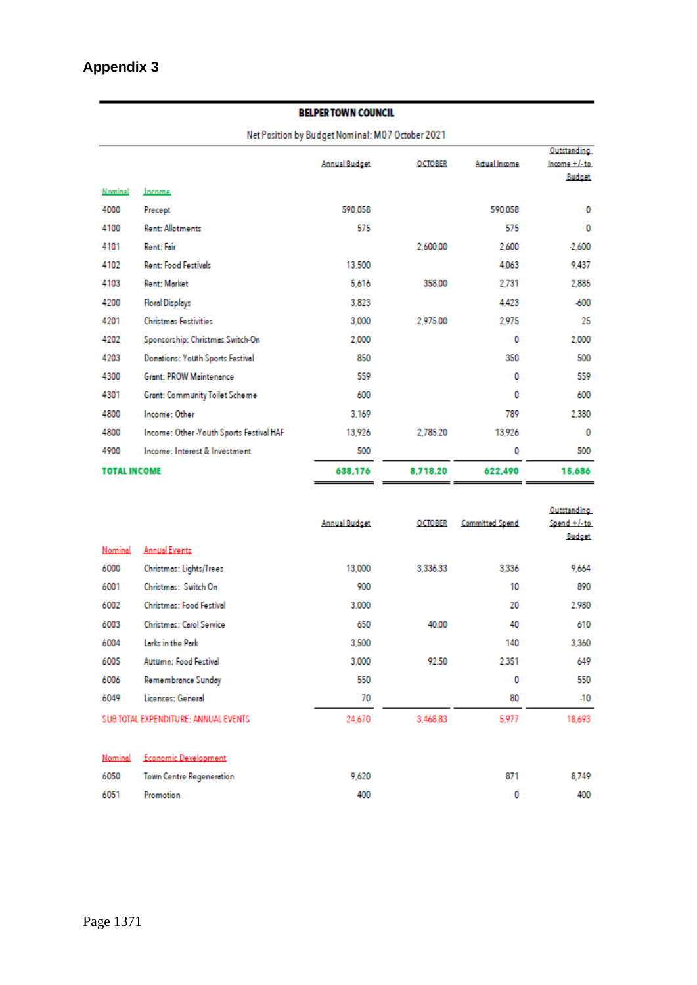Net Position by Budget Nominal: M07 October 2021

|                     |                                         |                      |                |               | Outstanding     |
|---------------------|-----------------------------------------|----------------------|----------------|---------------|-----------------|
|                     |                                         | <b>Annual Budget</b> | <b>OCTOBER</b> | Actual Income | $Income + l-to$ |
|                     |                                         |                      |                |               | Budget          |
| Nominal             | Income                                  |                      |                |               |                 |
| 4000                | Precept                                 | 590.058              |                | 590.058       | 0               |
| 4100                | <b>Rent: Allotments</b>                 | 575                  |                | 575           | 0               |
| 4101                | Rent: Fair                              |                      | 2.600.00       | 2,600         | $-2,600$        |
| 4102                | <b>Rent: Food Festivals</b>             | 13,500               |                | 4.063         | 9,437           |
| 4103                | Rent: Market                            | 5,616                | 358.00         | 2.731         | 2,885           |
| 4200                | <b>Floral Displays</b>                  | 3,823                |                | 4.423         | $-600$          |
| 4201                | <b>Christmas Festivities</b>            | 3,000                | 2.975.00       | 2.975         | 25              |
| 4202                | Sponsorship: Christmas Switch-On        | 2.000                |                | 0             | 2.000           |
| 4203                | Donations: Youth Sports Festival        | 850                  |                | 350           | 500             |
| 4300                | <b>Grant: PROW Maintenance</b>          | 559                  |                | ٥             | 559             |
| 4301                | Grant: Community Toilet Scheme          | 600                  |                | 0             | 600             |
| 4800                | Income: Other                           | 3.169                |                | 789           | 2.380           |
| 4800                | Income: Other-Youth Sports Festival HAF | 13,926               | 2.785.20       | 13.926        | 0               |
| 4900                | Income: Interest & Investment           | 500                  |                | 0             | 500             |
| <b>TOTAL INCOME</b> |                                         | 638,176              | 8,718.20       | 622,490       | 15,686          |

|         |                                      | <b>Annual Budget</b> | <b>OCTOBER</b> | <b>Committed Spend</b> | Outstanding<br>Spend +/-to<br><b>Budget</b> |
|---------|--------------------------------------|----------------------|----------------|------------------------|---------------------------------------------|
| Nominal | <b>Annual Events</b>                 |                      |                |                        |                                             |
| 6000    | Christmas: Lights/Trees              | 13,000               | 3,336.33       | 3,336                  | 9,664                                       |
| 6001    | Christmas: Switch On                 | 900                  |                | 10                     | 890                                         |
| 6002    | Christmas: Food Festival             | 3,000                |                | 20                     | 2,980                                       |
| 6003    | <b>Christmas: Carol Service</b>      | 650                  | 40.00          | 40                     | 610                                         |
| 6004    | Larks in the Park                    | 3,500                |                | 140                    | 3,360                                       |
| 6005    | Autumn: Food Festival                | 3,000                | 92.50          | 2.351                  | 649                                         |
| 6006    | Remembrance Sunday                   | 550                  |                | 0                      | 550                                         |
| 6049    | Licences: General                    | 70                   |                | 80                     | $-10$                                       |
|         | SUB TOTAL EXPENDITURE: ANNUAL EVENTS | 24,670               | 3,468.83       | 5,977                  | 18,693                                      |
| Nominal | <b>Economic Development</b>          |                      |                |                        |                                             |
| 6050    | Town Centre Regeneration             | 9,620                |                | 871                    | 8,749                                       |

400

 $\pmb{0}$ 

400

6051

Promotion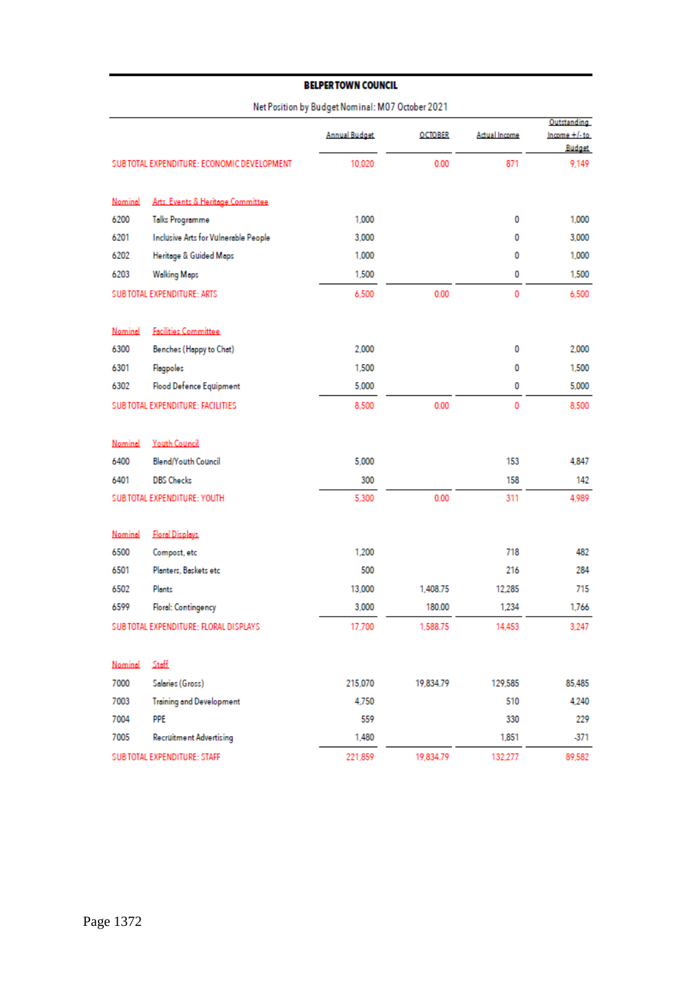#### Net Position by Budget Nominal: M07 October 2021

|         |                                             | <b>Annual Budget</b> | <b>OCTOBER</b> | Actual Income | Outstanding<br>Income +/-to |
|---------|---------------------------------------------|----------------------|----------------|---------------|-----------------------------|
|         | SUB TOTAL EXPENDITURE: ECONOMIC DEVELOPMENT | 10,020               | 0.00           | 871           | <b>Budget</b><br>9,149      |
|         |                                             |                      |                |               |                             |
| Nominal | Arts. Events & Heritage Committee           |                      |                |               |                             |
| 6200    | Talks Programme                             | 1,000                |                | 0             | 1,000                       |
| 6201    | Inclusive Arts for Vulnerable People        | 3,000                |                | 0             | 3,000                       |
| 6202    | Heritage & Guided Maps                      | 1,000                |                | 0             | 1,000                       |
| 6203    | <b>Walking Maps</b>                         | 1,500                |                | 0             | 1,500                       |
|         | <b>SUB TOTAL EXPENDITURE: ARTS</b>          | 6,500                | 0.00           | 0             | 6.500                       |
| Nominal | <b>Facilities Committee</b>                 |                      |                |               |                             |
| 6300    | Benches (Happy to Chat)                     | 2.000                |                | 0             | 2,000                       |
| 6301    | Flagpoles                                   | 1,500                |                | 0             | 1,500                       |
| 6302    | Flood Defence Equipment                     | 5,000                |                | 0             | 5,000                       |
|         | SUB TOTAL EXPENDITURE: FACILITIES           | 8,500                | 0.00           | 0             | 8,500                       |
|         |                                             |                      |                |               |                             |
| Nominal | <b>Youth Council</b>                        |                      |                |               |                             |
| 6400    | Blend/Youth Council                         | 5,000                |                | 153           | 4,847                       |
| 6401    | <b>DBS Checks</b>                           | 300                  |                | 158           | 142                         |
|         | SUB TOTAL EXPENDITURE: YOUTH                | 5,300                | 0.00           | 311           | 4,989                       |
|         |                                             |                      |                |               |                             |
| Nominal | <b>Floral Displays</b>                      |                      |                |               |                             |
| 6500    | Compost, etc                                | 1,200                |                | 718           | 482                         |
| 6501    | Planters, Baskets etc.                      | 500                  |                | 216           | 284                         |
| 6502    | Plants                                      | 13,000               | 1,408.75       | 12,285        | 715                         |
| 6599    | <b>Floral: Contingency</b>                  | 3.000                | 180.00         | 1,234         | 1,766                       |
|         | SUB TOTAL EXPENDITURE: FLORAL DISPLAYS      | 17,700               | 1.588.75       | 14,453        | 3,247                       |
| Nominal | Staff                                       |                      |                |               |                             |
| 7000    | Salaries (Gross)                            | 215,070              | 19,834.79      | 129,585       | 85,485                      |
| 7003    | <b>Training and Development</b>             | 4.750                |                | 510           | 4,240                       |
| 7004    | <b>PPE</b>                                  | 559                  |                | 330           | 229                         |
| 7005    | <b>Recruitment Advertising</b>              | 1,480                |                | 1,851         | -371                        |
|         | <b>SUBTOTAL EXPENDITURE: STAFF</b>          | 221,859              | 19,834.79      | 132,277       | 89,582                      |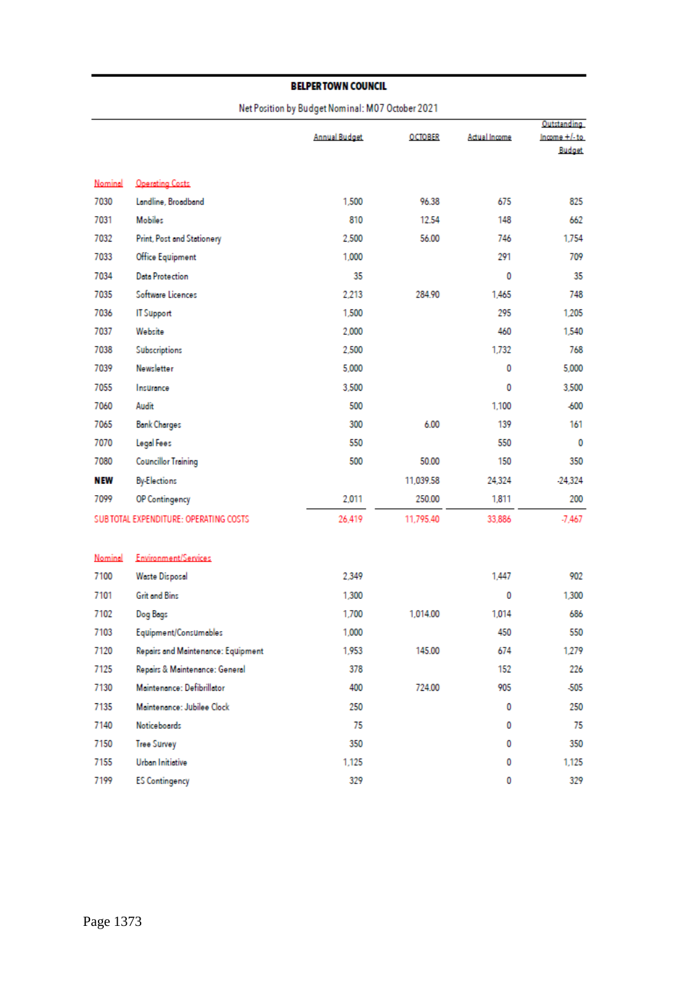#### Net Position by Budget Nominal: M07 October 2021

|         |                                        | <b>Annual Budget</b> | <b>OCTOBER</b> | Actual Income | Outstanding<br>$Income + / -to$ |
|---------|----------------------------------------|----------------------|----------------|---------------|---------------------------------|
|         |                                        |                      |                |               | Budget                          |
| Nominal | <b>Operating Costs</b>                 |                      |                |               |                                 |
| 7030    | Landline, Broadband                    | 1,500                | 96.38          | 675           | 825                             |
| 7031    | <b>Mobiles</b>                         | 810                  | 12.54          | 148           | 662                             |
| 7032    | Print, Post and Stationery             | 2,500                | 56.00          | 746           | 1.754                           |
| 7033    | Office Equipment                       | 1,000                |                | 291           | 709                             |
| 7034    | <b>Data Protection</b>                 | 35                   |                | 0             | 35                              |
| 7035    | Software Licences                      | 2,213                | 284.90         | 1.465         | 748                             |
| 7036    | <b>IT Support</b>                      | 1,500                |                | 295           | 1,205                           |
| 7037    | Website                                | 2,000                |                | 460           | 1,540                           |
| 7038    | <b>Subscriptions</b>                   | 2,500                |                | 1.732         | 768                             |
| 7039    | Newsletter                             | 5,000                |                | 0             | 5,000                           |
| 7055    | Insurance                              | 3,500                |                | 0             | 3,500                           |
| 7060    | Audit                                  | 500                  |                | 1.100         | -600                            |
| 7065    | <b>Bank Charges</b>                    | 300                  | 6.00           | 139           | 161                             |
| 7070    | Legal Fees                             | 550                  |                | 550           | 0                               |
| 7080    | <b>Councillor Training</b>             | 500                  | 50.00          | 150           | 350                             |
| N EW    | <b>By-Elections</b>                    |                      | 11,039.58      | 24,324        | $-24,324$                       |
| 7099    | OP Contingency                         | 2,011                | 250.00         | 1,811         | 200                             |
|         | SUB TOTAL EXPENDITURE: OPERATING COSTS | 26.419               | 11,795.40      | 33.886        | $-7.467$                        |
|         |                                        |                      |                |               |                                 |
| Nominal | Environment/Services                   |                      |                |               |                                 |
| 7100    | Waste Disposal                         | 2,349                |                | 1.447         | 902                             |
| 7101    | <b>Grit and Bins</b>                   | 1,300                |                | 0             | 1,300                           |
| 7102    | Dog Bogs                               | 1,700                | 1.014.00       | 1.014         | 686                             |
| 7103    | Equipment/Consumables                  | 1,000                |                | 450           | 550                             |
| 7120    | Repairs and Maintenance: Equipment     | 1,953                | 145.00         | 674           | 1,279                           |
| 7125    | Repairs & Maintenance: General         | 378                  |                | 152           | 226                             |
| 7130    | Maintenance: Defibrillator             | 400                  | 724.00         | 905           | $-505$                          |
| 7135    | Maintenance: Jubilee Clock             | 250                  |                | 0             | 250                             |
| 7140    | Noticeboards                           | 75                   |                | 0             | 75                              |
| 7150    | <b>Tree Survey</b>                     | 350                  |                | 0             | 350                             |
| 7155    | Urban Initiative                       | 1,125                |                | 0             | 1,125                           |
| 7199    | <b>ES Contingency</b>                  | 329                  |                | 0             | 329                             |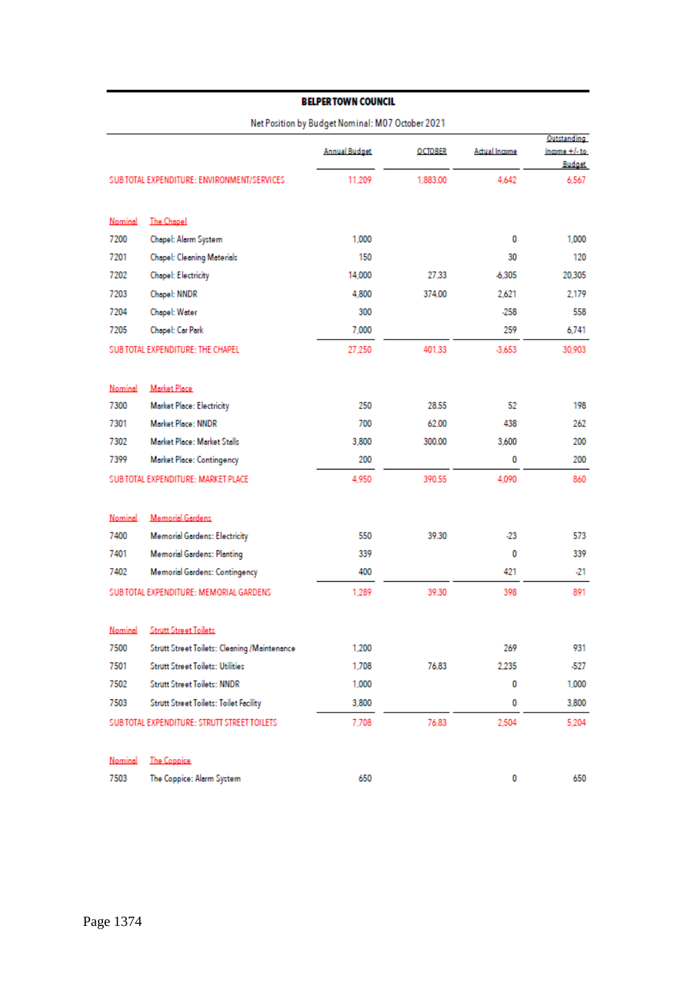|         |                                               | <b>Annual Budget</b> | <b>OCTOBER</b> | Actual Income | Outstanding<br>$Income + l-to$ |
|---------|-----------------------------------------------|----------------------|----------------|---------------|--------------------------------|
|         |                                               |                      |                |               | <b>Budget</b>                  |
|         | SUB TOTAL EXPENDITURE: ENVIRONMENT/SERVICES   | 11,209               | 1,883.00       | 4,642         | 6,567                          |
| Nominal | <b>The Chapel</b>                             |                      |                |               |                                |
| 7200    | Chapel: Alarm System                          | 1,000                |                | 0             | 1,000                          |
| 7201    | Chapel: Cleaning Materials                    | 150                  |                | 30            | 120                            |
| 7202    | Chapel: Electricity                           | 14,000               | 27.33          | 6,305         | 20,305                         |
| 7203    | Chapel: NNDR                                  | 4,800                | 374.00         | 2,621         | 2,179                          |
| 7204    | Chapel: Water                                 | 300                  |                | $-258$        | 558                            |
| 7205    | Chapel: Car Park                              | 7,000                |                | 259           | 6,741                          |
|         | SUB TOTAL EXPENDITURE: THE CHAPEL             | 27,250               | 401.33         | $-3.653$      | 30,903                         |
| Nominal | Market Place                                  |                      |                |               |                                |
| 7300    | Market Place: Electricity                     | 250                  | 28.55          | 52            | 198                            |
| 7301    | Market Place: NNDR                            | 700                  | 62.00          | 438           | 262                            |
| 7302    | Market Place: Market Stalls                   | 3,800                | 300.00         | 3,600         | 200                            |
| 7399    | Market Place: Contingency                     | 200                  |                | 0             | 200                            |
|         | SUB TOTAL EXPENDITURE: MARKET PLACE           | 4,950                | 390.55         | 4,090         | 860                            |
| Nominal | <b>Memorial Gardens</b>                       |                      |                |               |                                |
| 7400    | <b>Memorial Gardens: Electricity</b>          | 550                  | 39.30          | -23           | 573                            |
| 7401    | <b>Memorial Gardens: Planting</b>             | 339                  |                | 0             | 339                            |
| 7402    | <b>Memorial Gardens: Contingency</b>          | 400                  |                | 421           | -21                            |
|         | SUB TOTAL EXPENDITURE: MEMORIAL GARDENS       | 1,289                | 39.30          | 398           | 891                            |
| Nominal | <b>Strutt Street Toilets</b>                  |                      |                |               |                                |
| 7500    | Strutt Street Toilets: Cleaning /Maintenance  | 1,200                |                | 269           | 931                            |
| 7501    | <b>Strutt Street Toilets: Utilities</b>       | 1,708                | 76.83          | 2,235         | -527                           |
| 7502    | <b>Strutt Street Toilets: NNDR</b>            | 1,000                |                | 0             | 1,000                          |
| 7503    | <b>Strutt Street Toilets: Toilet Facility</b> | 3,800                |                | 0             | 3,800                          |
|         | SUB TOTAL EXPENDITURE: STRUTT STREET TOILETS  | 7,708                | 76.83          | 2,504         | 5,204                          |
| Nominal | <b>The Coppice</b>                            |                      |                |               |                                |
| 7503    | The Coppice: Alarm System                     | 650                  |                | 0             | 650                            |

Net Position by Budget Nominal: M07 October 2021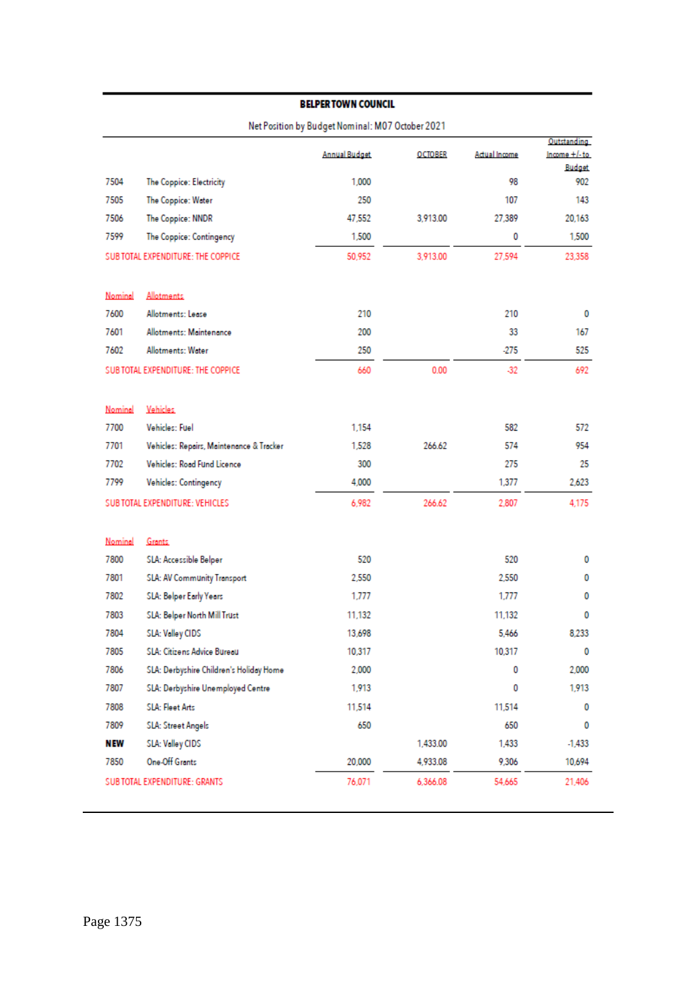|                                    |                                          | Net Position by Budget Nominal: M07 October 2021 |                |               | Outstanding   |
|------------------------------------|------------------------------------------|--------------------------------------------------|----------------|---------------|---------------|
|                                    |                                          | <b>Annual Budget</b>                             | <b>OCTOBER</b> | Actual Income | Income +/-to  |
|                                    |                                          |                                                  |                |               | <b>Budget</b> |
| 7504                               | The Coppice: Electricity                 | 1.000                                            |                | 98            | 902           |
| 7505                               | The Coppice: Water                       | 250                                              |                | 107           | 143           |
| 7506                               | The Coppice: NNDR                        | 47,552                                           | 3,913.00       | 27,389        | 20,163        |
| 7599                               | The Coppice: Contingency                 | 1,500                                            |                | 0             | 1,500         |
| SUB TOTAL EXPENDITURE: THE COPPICE |                                          | 50,952                                           | 3,913.00       | 27,594        | 23,358        |
| Nominal                            | Allotments                               |                                                  |                |               |               |
| 7600                               | Allotments: Lease                        | 210                                              |                | 210           | 0             |
| 7601                               | Allotments: Maintenance                  | 200                                              |                | 33            | 167           |
| 7602                               | Allotments: Water                        | 250                                              |                | -275          | 525           |
| SUBTOTAL EXPENDITURE: THE COPPICE  |                                          | 660                                              | 0.00           | $-32$         | 692           |
| Nominal                            | Vehicles                                 |                                                  |                |               |               |
| 7700                               | Vehicles: Fuel                           | 1.154                                            |                | 582           | 572           |
| 7701                               | Vehicles: Repairs, Maintenance & Tracker | 1,528                                            | 266.62         | 574           | 954           |
| 7702                               | Vehicles: Road Fund Licence              | 300                                              |                | 275           | 25            |
| 7799                               | Vehicles: Contingency                    | 4,000                                            |                | 1,377         | 2,623         |
| SUB TOTAL EXPENDITURE: VEHICLES    |                                          | 6,982                                            | 266.62         | 2,807         | 4,175         |
| Nominal                            | Grants                                   |                                                  |                |               |               |
| 7800                               | SLA: Accessible Belper                   | 520                                              |                | 520           | 0             |
| 7801                               | <b>SLA: AV Community Transport</b>       | 2,550                                            |                | 2,550         | 0             |
| 7802                               | SLA: Belper Early Years                  | 1,777                                            |                | 1,777         | 0             |
| 7803                               | SLA: Belper North Mill Trust             | 11,132                                           |                | 11.132        | 0             |
| 7804                               | SLA: Valley CIDS                         | 13,698                                           |                | 5,466         | 8,233         |
| 7805                               | SLA: Citizens Advice Bureau              | 10,317                                           |                | 10,317        | 0             |
| 7806                               | SLA: Derbyshire Children's Holiday Home  | 2,000                                            |                | 0             | 2,000         |
| 7807                               | SLA: Derbyshire Unemployed Centre        | 1,913                                            |                | 0             | 1,913         |
| 7808                               | <b>SLA: Fleet Arts</b>                   | 11,514                                           |                | 11,514        | 0             |
| 7809                               | SLA: Street Angels                       | 650                                              |                | 650           | 0             |
| NEW                                | SLA: Valley CIDS                         |                                                  | 1,433.00       | 1,433         | $-1,433$      |
| 7850                               | One-Off Grants                           | 20,000                                           | 4,933.08       | 9,306         | 10,694        |
| SUB TOTAL EXPENDITURE: GRANTS      |                                          | 76,071                                           | 6,366.08       | 54,665        | 21,406        |
|                                    |                                          |                                                  |                |               |               |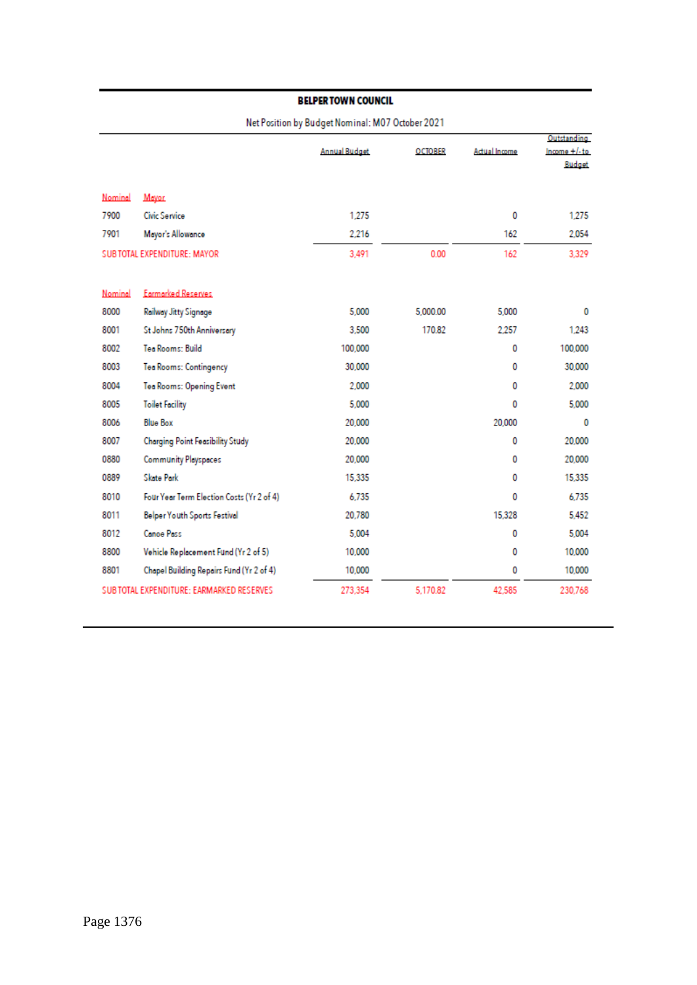| Net Position by Budget Nominal: MO / October 2021 |                                           |                      |                |               |                                          |  |  |  |
|---------------------------------------------------|-------------------------------------------|----------------------|----------------|---------------|------------------------------------------|--|--|--|
|                                                   |                                           | <b>Annual Budget</b> | <b>OCTOBER</b> | Actual Income | Outstanding<br>$Income + l-to$<br>Budget |  |  |  |
| Nominal                                           | Mayor                                     |                      |                |               |                                          |  |  |  |
| 7900                                              | <b>Civic Service</b>                      | 1.275                |                | 0             | 1.275                                    |  |  |  |
| 7901                                              | Mayor's Allowance                         | 2.216                |                | 162           | 2.054                                    |  |  |  |
| SUB TOTAL EXPENDITURE: MAYOR                      |                                           | 3.491                | 0.00           | 162           | 3.329                                    |  |  |  |
| Nominal                                           | Earmarked Reserves                        |                      |                |               |                                          |  |  |  |
| 8000                                              | Railway Jitty Signage                     | 5,000                | 5,000.00       | 5,000         | 0                                        |  |  |  |
| 8001                                              | St Johns 750th Anniversary                | 3,500                | 170.82         | 2.257         | 1,243                                    |  |  |  |
| 8002                                              | <b>Tea Rooms: Build</b>                   | 100,000              |                | 0             | 100,000                                  |  |  |  |
| 8003                                              | Tea Rooms: Contingency                    | 30,000               |                | 0             | 30,000                                   |  |  |  |
| 8004                                              | Tea Rooms: Opening Event                  | 2.000                |                | 0             | 2.000                                    |  |  |  |
| 8005                                              | <b>Toilet Facility</b>                    | 5.000                |                | 0             | 5,000                                    |  |  |  |
| 8006                                              | <b>Blue Box</b>                           | 20,000               |                | 20,000        | 0                                        |  |  |  |
| 8007                                              | Charging Point Feasibility Study          | 20,000               |                | 0             | 20,000                                   |  |  |  |
| 0880                                              | Community Playspaces                      | 20,000               |                | 0             | 20 000                                   |  |  |  |
| 0889                                              | <b>Skate Park</b>                         | 15.335               |                | 0             | 15.335                                   |  |  |  |
| 8010                                              | Four Year Term Election Costs (Yr 2 of 4) | 6.735                |                | 0             | 6.735                                    |  |  |  |
| 8011                                              | <b>Belper Youth Sports Festival</b>       | 20.780               |                | 15,328        | 5.452                                    |  |  |  |
| 8012                                              | <b>Canoe Pass</b>                         | 5.004                |                | 0             | 5.004                                    |  |  |  |
| 8800                                              | Vehicle Replacement Fund (Yr 2 of 5)      | 10,000               |                | 0             | 10,000                                   |  |  |  |
| 8801                                              | Chapel Building Repairs Fund (Yr 2 of 4)  | 10,000               |                | 0             | 10,000                                   |  |  |  |
| SUB TOTAL EXPENDITURE: EARMARKED RESERVES         |                                           | 273,354              | 5,170.82       | 42,585        | 230.768                                  |  |  |  |

Net Peritian by Rudget Naminal: M07 October 2021